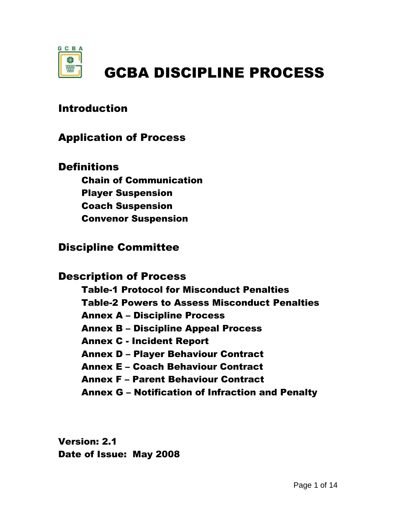

# GCBA DISCIPLINE PROCESS

## Introduction

### Application of Process

**Definitions** 

Chain of Communication Player Suspension Coach Suspension Convenor Suspension

## Discipline Committee

#### Description of Process

Table-1 Protocol for Misconduct Penalties Table-2 Powers to Assess Misconduct Penalties Annex A – Discipline Process Annex B – Discipline Appeal Process Annex C - Incident Report Annex D – Player Behaviour Contract Annex E – Coach Behaviour Contract Annex F – Parent Behaviour Contract Annex G – Notification of Infraction and Penalty

Version: 2.1 Date of Issue: May 2008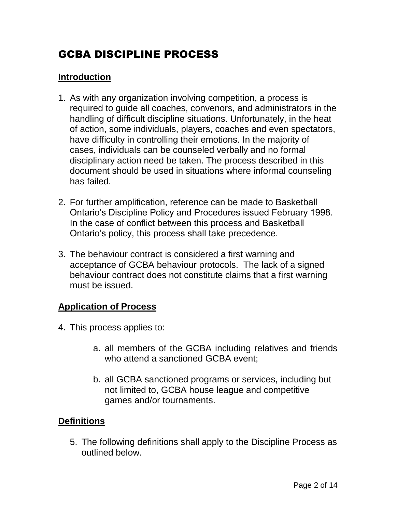## GCBA DISCIPLINE PROCESS

#### **Introduction**

- 1. As with any organization involving competition, a process is required to guide all coaches, convenors, and administrators in the handling of difficult discipline situations. Unfortunately, in the heat of action, some individuals, players, coaches and even spectators, have difficulty in controlling their emotions. In the majority of cases, individuals can be counseled verbally and no formal disciplinary action need be taken. The process described in this document should be used in situations where informal counseling has failed.
- 2. For further amplification, reference can be made to Basketball Ontario's Discipline Policy and Procedures issued February 1998. In the case of conflict between this process and Basketball Ontario's policy, this process shall take precedence.
- 3. The behaviour contract is considered a first warning and acceptance of GCBA behaviour protocols. The lack of a signed behaviour contract does not constitute claims that a first warning must be issued.

#### **Application of Process**

- 4. This process applies to:
	- a. all members of the GCBA including relatives and friends who attend a sanctioned GCBA event:
	- b. all GCBA sanctioned programs or services, including but not limited to, GCBA house league and competitive games and/or tournaments.

#### **Definitions**

5. The following definitions shall apply to the Discipline Process as outlined below.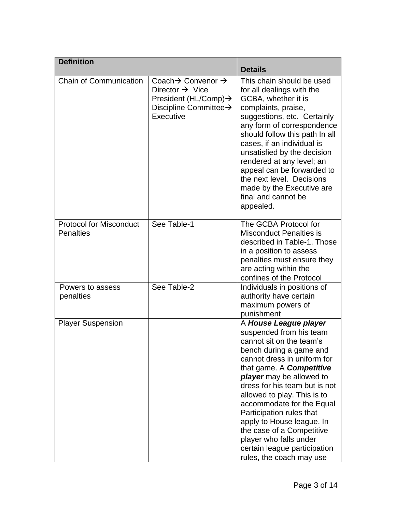| <b>Definition</b>                                  |                                                                                                                                                                   | <b>Details</b>                                                                                                                                                                                                                                                                                                                                                                                                                                                                 |
|----------------------------------------------------|-------------------------------------------------------------------------------------------------------------------------------------------------------------------|--------------------------------------------------------------------------------------------------------------------------------------------------------------------------------------------------------------------------------------------------------------------------------------------------------------------------------------------------------------------------------------------------------------------------------------------------------------------------------|
| Chain of Communication                             | Coach $\rightarrow$ Convenor $\rightarrow$<br>Director $\rightarrow$ Vice<br>President (HL/Comp) $\rightarrow$<br>Discipline Committee $\rightarrow$<br>Executive | This chain should be used<br>for all dealings with the<br>GCBA, whether it is<br>complaints, praise,<br>suggestions, etc. Certainly<br>any form of correspondence<br>should follow this path In all<br>cases, if an individual is<br>unsatisfied by the decision<br>rendered at any level; an<br>appeal can be forwarded to<br>the next level. Decisions<br>made by the Executive are<br>final and cannot be<br>appealed.                                                      |
| <b>Protocol for Misconduct</b><br><b>Penalties</b> | See Table-1                                                                                                                                                       | The GCBA Protocol for<br><b>Misconduct Penalties is</b><br>described in Table-1. Those<br>in a position to assess<br>penalties must ensure they<br>are acting within the<br>confines of the Protocol                                                                                                                                                                                                                                                                           |
| Powers to assess<br>penalties                      | See Table-2                                                                                                                                                       | Individuals in positions of<br>authority have certain<br>maximum powers of<br>punishment                                                                                                                                                                                                                                                                                                                                                                                       |
| <b>Player Suspension</b>                           |                                                                                                                                                                   | A House League player<br>suspended from his team<br>cannot sit on the team's<br>bench during a game and<br>cannot dress in uniform for<br>that game. A <b>Competitive</b><br>player may be allowed to<br>dress for his team but is not<br>allowed to play. This is to<br>accommodate for the Equal<br>Participation rules that<br>apply to House league. In<br>the case of a Competitive<br>player who falls under<br>certain league participation<br>rules, the coach may use |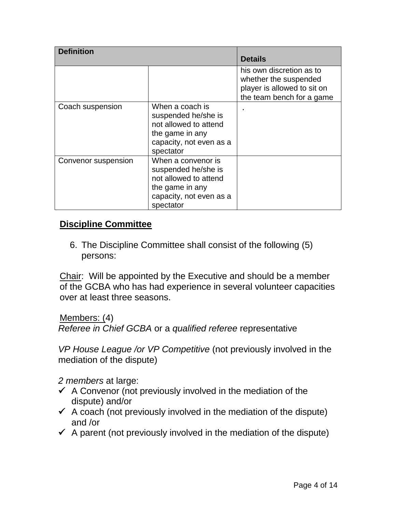| <b>Definition</b>   |                                                                                                                               |                                                                                                               |
|---------------------|-------------------------------------------------------------------------------------------------------------------------------|---------------------------------------------------------------------------------------------------------------|
|                     |                                                                                                                               | <b>Details</b>                                                                                                |
|                     |                                                                                                                               | his own discretion as to<br>whether the suspended<br>player is allowed to sit on<br>the team bench for a game |
| Coach suspension    | When a coach is<br>suspended he/she is<br>not allowed to attend<br>the game in any<br>capacity, not even as a<br>spectator    |                                                                                                               |
| Convenor suspension | When a convenor is<br>suspended he/she is<br>not allowed to attend<br>the game in any<br>capacity, not even as a<br>spectator |                                                                                                               |

#### **Discipline Committee**

6. The Discipline Committee shall consist of the following (5) persons:

Chair: Will be appointed by the Executive and should be a member of the GCBA who has had experience in several volunteer capacities over at least three seasons.

Members: (4) *Referee in Chief GCBA* or a *qualified referee* representative

*VP House League /or VP Competitive* (not previously involved in the mediation of the dispute)

*2 members* at large:

- $\checkmark$  A Convenor (not previously involved in the mediation of the dispute) and/or
- $\checkmark$  A coach (not previously involved in the mediation of the dispute) and /or
- $\checkmark$  A parent (not previously involved in the mediation of the dispute)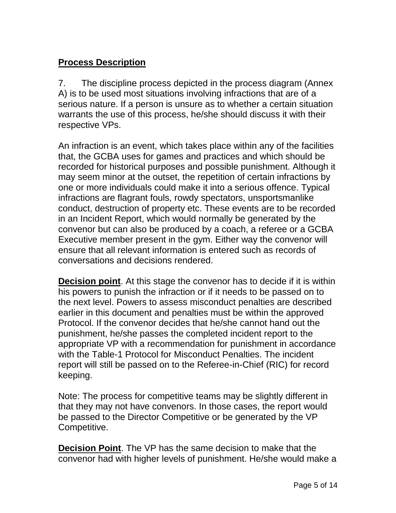#### **Process Description**

7. The discipline process depicted in the process diagram (Annex A) is to be used most situations involving infractions that are of a serious nature. If a person is unsure as to whether a certain situation warrants the use of this process, he/she should discuss it with their respective VPs.

An infraction is an event, which takes place within any of the facilities that, the GCBA uses for games and practices and which should be recorded for historical purposes and possible punishment. Although it may seem minor at the outset, the repetition of certain infractions by one or more individuals could make it into a serious offence. Typical infractions are flagrant fouls, rowdy spectators, unsportsmanlike conduct, destruction of property etc. These events are to be recorded in an Incident Report, which would normally be generated by the convenor but can also be produced by a coach, a referee or a GCBA Executive member present in the gym. Either way the convenor will ensure that all relevant information is entered such as records of conversations and decisions rendered.

**Decision point**. At this stage the convenor has to decide if it is within his powers to punish the infraction or if it needs to be passed on to the next level. Powers to assess misconduct penalties are described earlier in this document and penalties must be within the approved Protocol. If the convenor decides that he/she cannot hand out the punishment, he/she passes the completed incident report to the appropriate VP with a recommendation for punishment in accordance with the Table-1 Protocol for Misconduct Penalties. The incident report will still be passed on to the Referee-in-Chief (RIC) for record keeping.

Note: The process for competitive teams may be slightly different in that they may not have convenors. In those cases, the report would be passed to the Director Competitive or be generated by the VP Competitive.

**Decision Point**. The VP has the same decision to make that the convenor had with higher levels of punishment. He/she would make a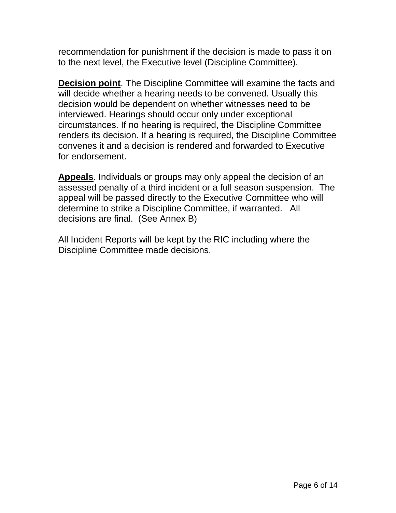recommendation for punishment if the decision is made to pass it on to the next level, the Executive level (Discipline Committee).

**Decision point**. The Discipline Committee will examine the facts and will decide whether a hearing needs to be convened. Usually this decision would be dependent on whether witnesses need to be interviewed. Hearings should occur only under exceptional circumstances. If no hearing is required, the Discipline Committee renders its decision. If a hearing is required, the Discipline Committee convenes it and a decision is rendered and forwarded to Executive for endorsement.

**Appeals**. Individuals or groups may only appeal the decision of an assessed penalty of a third incident or a full season suspension. The appeal will be passed directly to the Executive Committee who will determine to strike a Discipline Committee, if warranted. All decisions are final. (See Annex B)

All Incident Reports will be kept by the RIC including where the Discipline Committee made decisions.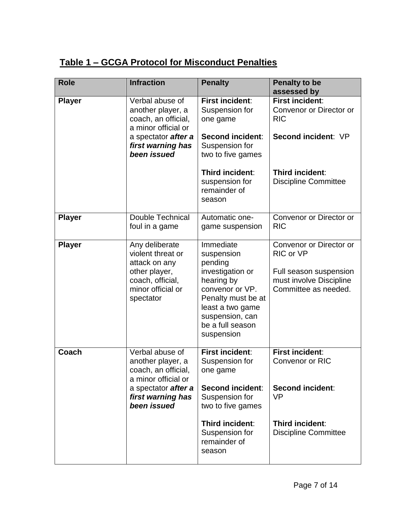## **Table 1 – GCGA Protocol for Misconduct Penalties**

| <b>Role</b>   | <b>Infraction</b>                                                                                                           | <b>Penalty</b>                                                                                                                                                                         | <b>Penalty to be</b><br>assessed by                                                                               |
|---------------|-----------------------------------------------------------------------------------------------------------------------------|----------------------------------------------------------------------------------------------------------------------------------------------------------------------------------------|-------------------------------------------------------------------------------------------------------------------|
| <b>Player</b> | Verbal abuse of<br>another player, a<br>coach, an official,<br>a minor official or                                          | <b>First incident:</b><br>Suspension for<br>one game                                                                                                                                   | First incident:<br>Convenor or Director or<br><b>RIC</b>                                                          |
|               | a spectator <b>after a</b><br>first warning has<br>been issued                                                              | Second incident:<br>Suspension for<br>two to five games                                                                                                                                | Second incident: VP                                                                                               |
|               |                                                                                                                             | Third incident:<br>suspension for<br>remainder of<br>season                                                                                                                            | Third incident:<br><b>Discipline Committee</b>                                                                    |
| <b>Player</b> | <b>Double Technical</b><br>foul in a game                                                                                   | Automatic one-<br>game suspension                                                                                                                                                      | Convenor or Director or<br><b>RIC</b>                                                                             |
| <b>Player</b> | Any deliberate<br>violent threat or<br>attack on any<br>other player,<br>coach, official,<br>minor official or<br>spectator | Immediate<br>suspension<br>pending<br>investigation or<br>hearing by<br>convenor or VP.<br>Penalty must be at<br>least a two game<br>suspension, can<br>be a full season<br>suspension | Convenor or Director or<br>RIC or VP<br>Full season suspension<br>must involve Discipline<br>Committee as needed. |
| Coach         | Verbal abuse of<br>another player, a<br>coach, an official,<br>a minor official or                                          | <b>First incident:</b><br>Suspension for<br>one game                                                                                                                                   | First incident:<br><b>Convenor or RIC</b>                                                                         |
|               | a spectator <b>after a</b><br>first warning has<br>been issued                                                              | Second incident:<br>Suspension for<br>two to five games                                                                                                                                | Second incident:<br><b>VP</b>                                                                                     |
|               |                                                                                                                             | Third incident:<br>Suspension for<br>remainder of<br>season                                                                                                                            | Third incident:<br><b>Discipline Committee</b>                                                                    |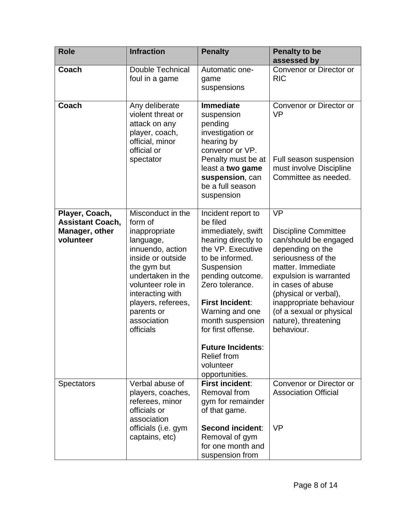| <b>Role</b>                                                              | <b>Infraction</b>                                                                                                                                                                                                                                | <b>Penalty</b>                                                                                                                                                                                                                                                                                                                                   | <b>Penalty to be</b><br>assessed by                                                                                                                                                                                                                                                                   |
|--------------------------------------------------------------------------|--------------------------------------------------------------------------------------------------------------------------------------------------------------------------------------------------------------------------------------------------|--------------------------------------------------------------------------------------------------------------------------------------------------------------------------------------------------------------------------------------------------------------------------------------------------------------------------------------------------|-------------------------------------------------------------------------------------------------------------------------------------------------------------------------------------------------------------------------------------------------------------------------------------------------------|
| Coach                                                                    | <b>Double Technical</b><br>foul in a game                                                                                                                                                                                                        | Automatic one-<br>game<br>suspensions                                                                                                                                                                                                                                                                                                            | Convenor or Director or<br><b>RIC</b>                                                                                                                                                                                                                                                                 |
| Coach                                                                    | Any deliberate<br>violent threat or<br>attack on any<br>player, coach,<br>official, minor<br>official or<br>spectator                                                                                                                            | <b>Immediate</b><br>suspension<br>pending<br>investigation or<br>hearing by<br>convenor or VP.<br>Penalty must be at<br>least a two game<br>suspension, can<br>be a full season<br>suspension                                                                                                                                                    | Convenor or Director or<br><b>VP</b><br>Full season suspension<br>must involve Discipline<br>Committee as needed.                                                                                                                                                                                     |
| Player, Coach,<br><b>Assistant Coach,</b><br>Manager, other<br>volunteer | Misconduct in the<br>form of<br>inappropriate<br>language,<br>innuendo, action<br>inside or outside<br>the gym but<br>undertaken in the<br>volunteer role in<br>interacting with<br>players, referees,<br>parents or<br>association<br>officials | Incident report to<br>be filed<br>immediately, swift<br>hearing directly to<br>the VP. Executive<br>to be informed.<br>Suspension<br>pending outcome.<br>Zero tolerance.<br><b>First Incident:</b><br>Warning and one<br>month suspension<br>for first offense.<br><b>Future Incidents:</b><br><b>Relief from</b><br>volunteer<br>opportunities. | <b>VP</b><br><b>Discipline Committee</b><br>can/should be engaged<br>depending on the<br>seriousness of the<br>matter. Immediate<br>expulsion is warranted<br>in cases of abuse<br>(physical or verbal),<br>inappropriate behaviour<br>(of a sexual or physical<br>nature), threatening<br>behaviour. |
| <b>Spectators</b>                                                        | Verbal abuse of<br>players, coaches,<br>referees, minor<br>officials or<br>association<br>officials (i.e. gym<br>captains, etc)                                                                                                                  | <b>First incident:</b><br>Removal from<br>gym for remainder<br>of that game.<br><b>Second incident:</b><br>Removal of gym<br>for one month and<br>suspension from                                                                                                                                                                                | Convenor or Director or<br><b>Association Official</b><br><b>VP</b>                                                                                                                                                                                                                                   |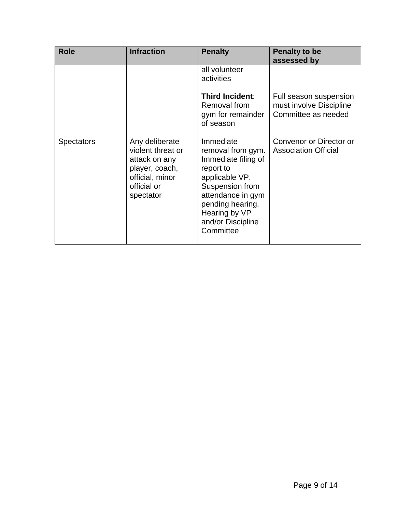| <b>Role</b>       | <b>Infraction</b>                                                                                                     | <b>Penalty</b>                                                                                                                                                                                      | <b>Penalty to be</b><br>assessed by                                      |
|-------------------|-----------------------------------------------------------------------------------------------------------------------|-----------------------------------------------------------------------------------------------------------------------------------------------------------------------------------------------------|--------------------------------------------------------------------------|
|                   |                                                                                                                       | all volunteer<br>activities                                                                                                                                                                         |                                                                          |
|                   |                                                                                                                       | <b>Third Incident:</b><br>Removal from<br>gym for remainder<br>of season                                                                                                                            | Full season suspension<br>must involve Discipline<br>Committee as needed |
| <b>Spectators</b> | Any deliberate<br>violent threat or<br>attack on any<br>player, coach,<br>official, minor<br>official or<br>spectator | Immediate<br>removal from gym.<br>Immediate filing of<br>report to<br>applicable VP.<br>Suspension from<br>attendance in gym<br>pending hearing.<br>Hearing by VP<br>and/or Discipline<br>Committee | Convenor or Director or<br><b>Association Official</b>                   |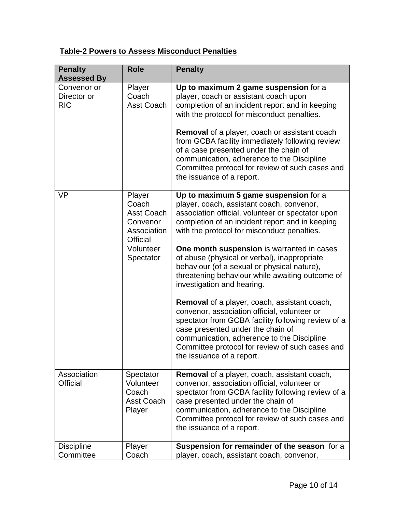#### **Table-2 Powers to Assess Misconduct Penalties**

| <b>Penalty</b><br><b>Assessed By</b>     | <b>Role</b>                                                                                                  | <b>Penalty</b>                                                                                                                                                                                                                                                                                                                                                                                                                                                                                                                                                                                                                                                                                                                                                                                          |
|------------------------------------------|--------------------------------------------------------------------------------------------------------------|---------------------------------------------------------------------------------------------------------------------------------------------------------------------------------------------------------------------------------------------------------------------------------------------------------------------------------------------------------------------------------------------------------------------------------------------------------------------------------------------------------------------------------------------------------------------------------------------------------------------------------------------------------------------------------------------------------------------------------------------------------------------------------------------------------|
| Convenor or<br>Director or<br><b>RIC</b> | Player<br>Coach<br><b>Asst Coach</b>                                                                         | Up to maximum 2 game suspension for a<br>player, coach or assistant coach upon<br>completion of an incident report and in keeping<br>with the protocol for misconduct penalties.<br><b>Removal</b> of a player, coach or assistant coach<br>from GCBA facility immediately following review<br>of a case presented under the chain of<br>communication, adherence to the Discipline<br>Committee protocol for review of such cases and<br>the issuance of a report.                                                                                                                                                                                                                                                                                                                                     |
| <b>VP</b>                                | Player<br>Coach<br><b>Asst Coach</b><br>Convenor<br>Association<br><b>Official</b><br>Volunteer<br>Spectator | Up to maximum 5 game suspension for a<br>player, coach, assistant coach, convenor,<br>association official, volunteer or spectator upon<br>completion of an incident report and in keeping<br>with the protocol for misconduct penalties.<br>One month suspension is warranted in cases<br>of abuse (physical or verbal), inappropriate<br>behaviour (of a sexual or physical nature),<br>threatening behaviour while awaiting outcome of<br>investigation and hearing.<br><b>Removal</b> of a player, coach, assistant coach,<br>convenor, association official, volunteer or<br>spectator from GCBA facility following review of a<br>case presented under the chain of<br>communication, adherence to the Discipline<br>Committee protocol for review of such cases and<br>the issuance of a report. |
| Association<br><b>Official</b>           | Spectator<br>Volunteer<br>Coach<br><b>Asst Coach</b><br>Player                                               | <b>Removal</b> of a player, coach, assistant coach,<br>convenor, association official, volunteer or<br>spectator from GCBA facility following review of a<br>case presented under the chain of<br>communication, adherence to the Discipline<br>Committee protocol for review of such cases and<br>the issuance of a report.                                                                                                                                                                                                                                                                                                                                                                                                                                                                            |
| <b>Discipline</b><br>Committee           | Player<br>Coach                                                                                              | Suspension for remainder of the season for a<br>player, coach, assistant coach, convenor,                                                                                                                                                                                                                                                                                                                                                                                                                                                                                                                                                                                                                                                                                                               |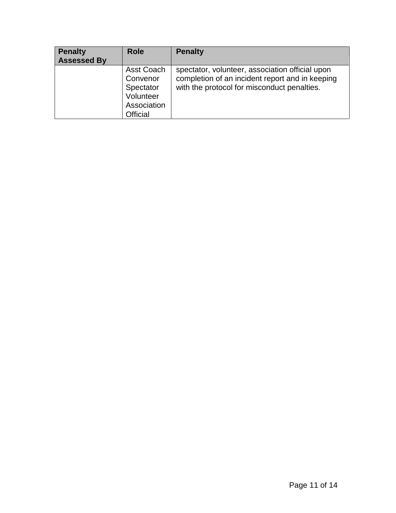| <b>Penalty</b><br><b>Assessed By</b> | <b>Role</b>                                                                        | <b>Penalty</b>                                                                                                                                    |
|--------------------------------------|------------------------------------------------------------------------------------|---------------------------------------------------------------------------------------------------------------------------------------------------|
|                                      | <b>Asst Coach</b><br>Convenor<br>Spectator<br>Volunteer<br>Association<br>Official | spectator, volunteer, association official upon<br>completion of an incident report and in keeping<br>with the protocol for misconduct penalties. |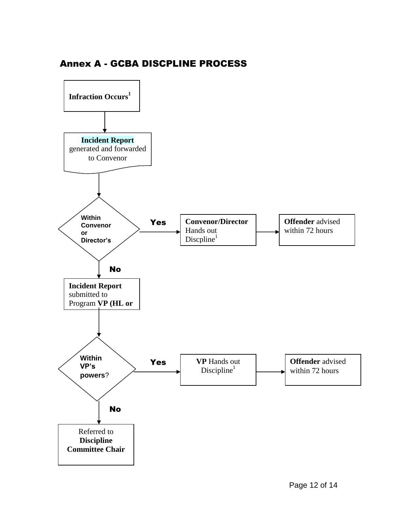

#### Annex A - GCBA DISCPLINE PROCESS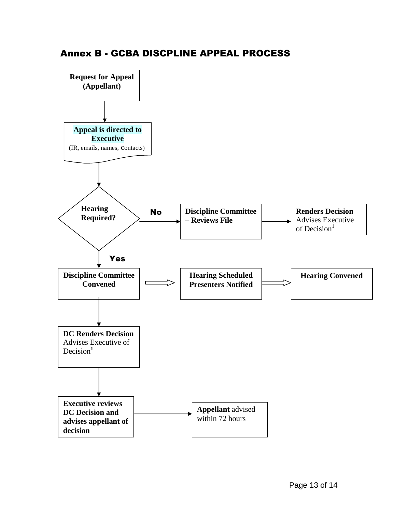

#### Annex B - GCBA DISCPLINE APPEAL PROCESS